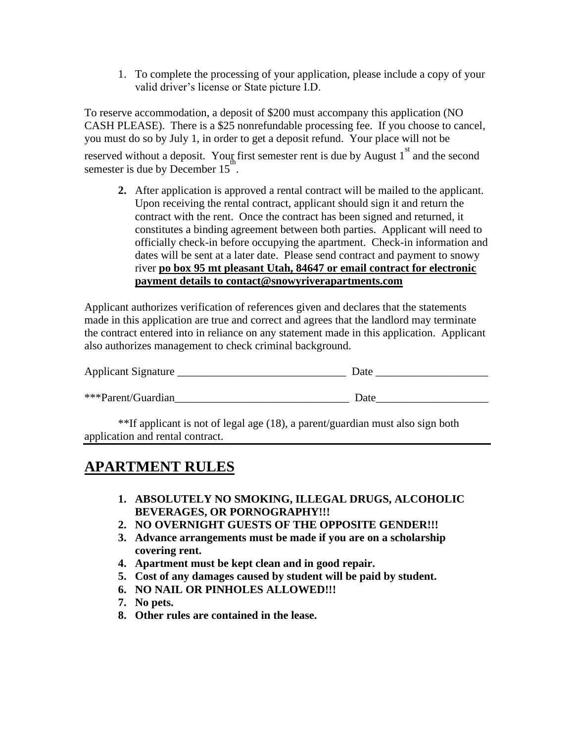1. To complete the processing of your application, please include a copy of your valid driver's license or State picture I.D.

To reserve accommodation, a deposit of \$200 must accompany this application (NO CASH PLEASE). There is a \$25 nonrefundable processing fee. If you choose to cancel, you must do so by July 1, in order to get a deposit refund. Your place will not be reserved without a deposit. Your first semester rent is due by August  $1<sup>st</sup>$  and the second semester is due by December  $15<sup>th</sup>$ .

**2.** After application is approved a rental contract will be mailed to the applicant. Upon receiving the rental contract, applicant should sign it and return the contract with the rent. Once the contract has been signed and returned, it constitutes a binding agreement between both parties. Applicant will need to officially check-in before occupying the apartment. Check-in information and dates will be sent at a later date. Please send contract and payment to snowy river **po box 95 mt pleasant Utah, 84647 or email contract for electronic payment details to contact@snowyriverapartments.com**

Applicant authorizes verification of references given and declares that the statements made in this application are true and correct and agrees that the landlord may terminate the contract entered into in reliance on any statement made in this application. Applicant also authorizes management to check criminal background.

| Applicant Signature | Date |
|---------------------|------|
| ***Parent/Guardian  | Date |

\*\*If applicant is not of legal age (18), a parent/guardian must also sign both application and rental contract.

## **APARTMENT RULES**

- **1. ABSOLUTELY NO SMOKING, ILLEGAL DRUGS, ALCOHOLIC BEVERAGES, OR PORNOGRAPHY!!!**
- **2. NO OVERNIGHT GUESTS OF THE OPPOSITE GENDER!!!**
- **3. Advance arrangements must be made if you are on a scholarship covering rent.**
- **4. Apartment must be kept clean and in good repair.**
- **5. Cost of any damages caused by student will be paid by student.**
- **6. NO NAIL OR PINHOLES ALLOWED!!!**
- **7. No pets.**
- **8. Other rules are contained in the lease.**